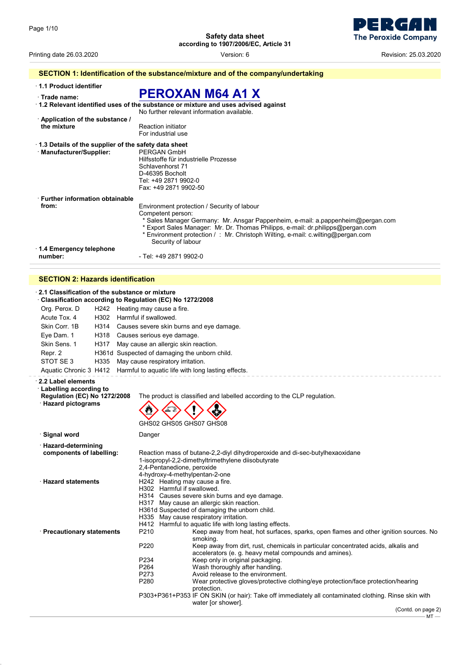- 1 E  $\mathbf$ **The Peroxide Company** 

Printing date 26.03.2020 Version: 6 Revision: 25.03.2020

|                                                      | SECTION 1: Identification of the substance/mixture and of the company/undertaking                                                                                                                                                                                                                                                                |
|------------------------------------------------------|--------------------------------------------------------------------------------------------------------------------------------------------------------------------------------------------------------------------------------------------------------------------------------------------------------------------------------------------------|
| 1.1 Product identifier<br>Trade name:                | <b>PEROXAN M64 A1 X</b>                                                                                                                                                                                                                                                                                                                          |
|                                                      | $\cdot$ 1.2 Relevant identified uses of the substance or mixture and uses advised against<br>No further relevant information available                                                                                                                                                                                                           |
| Application of the substance /                       |                                                                                                                                                                                                                                                                                                                                                  |
| the mixture                                          | <b>Reaction initiator</b><br>For industrial use                                                                                                                                                                                                                                                                                                  |
| 1.3 Details of the supplier of the safety data sheet |                                                                                                                                                                                                                                                                                                                                                  |
| · Manufacturer/Supplier:                             | PERGAN GmbH<br>Hilfsstoffe für industrielle Prozesse<br>Schlavenhorst 71<br>D-46395 Bocholt<br>Tel: +49 2871 9902-0<br>Fax: +49 2871 9902-50                                                                                                                                                                                                     |
| · Further information obtainable                     |                                                                                                                                                                                                                                                                                                                                                  |
| from:                                                | Environment protection / Security of labour<br>Competent person:<br>* Sales Manager Germany: Mr. Ansgar Pappenheim, e-mail: a.pappenheim@pergan.com<br>* Export Sales Manager: Mr. Dr. Thomas Philipps, e-mail: dr.philipps@pergan.com<br>* Environment protection / : Mr. Christoph Wilting, e-mail: c.wilting@pergan.com<br>Security of labour |
| 1.4 Emergency telephone                              |                                                                                                                                                                                                                                                                                                                                                  |
| number:                                              | - Tel: +49 2871 9902-0                                                                                                                                                                                                                                                                                                                           |
|                                                      |                                                                                                                                                                                                                                                                                                                                                  |

## **SECTION 2: Hazards identification**

| 2.1 Classification of the substance or mixture<br>Classification according to Regulation (EC) No 1272/2008 |      |                                                          |                                                                                                                                                                                                                                                                                                                                                                                                                                                                                                                                                                                                 |
|------------------------------------------------------------------------------------------------------------|------|----------------------------------------------------------|-------------------------------------------------------------------------------------------------------------------------------------------------------------------------------------------------------------------------------------------------------------------------------------------------------------------------------------------------------------------------------------------------------------------------------------------------------------------------------------------------------------------------------------------------------------------------------------------------|
| Org. Perox. D                                                                                              |      | H242 Heating may cause a fire.                           |                                                                                                                                                                                                                                                                                                                                                                                                                                                                                                                                                                                                 |
| Acute Tox. 4                                                                                               |      | H302 Harmful if swallowed.                               |                                                                                                                                                                                                                                                                                                                                                                                                                                                                                                                                                                                                 |
| Skin Corr. 1B                                                                                              |      | H314 Causes severe skin burns and eye damage.            |                                                                                                                                                                                                                                                                                                                                                                                                                                                                                                                                                                                                 |
| Eye Dam. 1                                                                                                 |      | H318 Causes serious eye damage.                          |                                                                                                                                                                                                                                                                                                                                                                                                                                                                                                                                                                                                 |
| Skin Sens. 1                                                                                               |      | H317 May cause an allergic skin reaction.                |                                                                                                                                                                                                                                                                                                                                                                                                                                                                                                                                                                                                 |
| Repr. 2                                                                                                    |      | H361d Suspected of damaging the unborn child.            |                                                                                                                                                                                                                                                                                                                                                                                                                                                                                                                                                                                                 |
| STOT SE3                                                                                                   | H335 | May cause respiratory irritation.                        |                                                                                                                                                                                                                                                                                                                                                                                                                                                                                                                                                                                                 |
|                                                                                                            |      |                                                          | Aquatic Chronic 3 H412 Harmful to aquatic life with long lasting effects.                                                                                                                                                                                                                                                                                                                                                                                                                                                                                                                       |
| 2.2 Label elements                                                                                         |      |                                                          |                                                                                                                                                                                                                                                                                                                                                                                                                                                                                                                                                                                                 |
| <b>Labelling according to</b><br><b>Regulation (EC) No 1272/2008</b><br>· Hazard pictograms                |      |                                                          | The product is classified and labelled according to the CLP regulation.<br>GHS02 GHS05 GHS07 GHS08                                                                                                                                                                                                                                                                                                                                                                                                                                                                                              |
| · Signal word                                                                                              |      | Danger                                                   |                                                                                                                                                                                                                                                                                                                                                                                                                                                                                                                                                                                                 |
| · Hazard-determining<br>components of labelling:                                                           |      |                                                          | Reaction mass of butane-2,2-diyl dihydroperoxide and di-sec-butylhexaoxidane<br>1-isopropyl-2,2-dimethyltrimethylene diisobutyrate<br>2,4-Pentanedione, peroxide<br>4-hydroxy-4-methylpentan-2-one                                                                                                                                                                                                                                                                                                                                                                                              |
| <b>Hazard statements</b>                                                                                   |      |                                                          | H242 Heating may cause a fire.<br>H302 Harmful if swallowed.<br>H314 Causes severe skin burns and eye damage.<br>H317 May cause an allergic skin reaction.<br>H361d Suspected of damaging the unborn child.<br>H335 May cause respiratory irritation.<br>H412 Harmful to aquatic life with long lasting effects.                                                                                                                                                                                                                                                                                |
| · Precautionary statements                                                                                 |      | P210<br>P220<br>P234<br>P <sub>264</sub><br>P273<br>P280 | Keep away from heat, hot surfaces, sparks, open flames and other ignition sources. No<br>smoking.<br>Keep away from dirt, rust, chemicals in particular concentrated acids, alkalis and<br>accelerators (e. g. heavy metal compounds and amines).<br>Keep only in original packaging.<br>Wash thoroughly after handling.<br>Avoid release to the environment.<br>Wear protective gloves/protective clothing/eye protection/face protection/hearing<br>protection.<br>P303+P361+P353 IF ON SKIN (or hair): Take off immediately all contaminated clothing. Rinse skin with<br>water [or shower]. |
|                                                                                                            |      |                                                          | (Contd. on page 2)                                                                                                                                                                                                                                                                                                                                                                                                                                                                                                                                                                              |

 $MT -$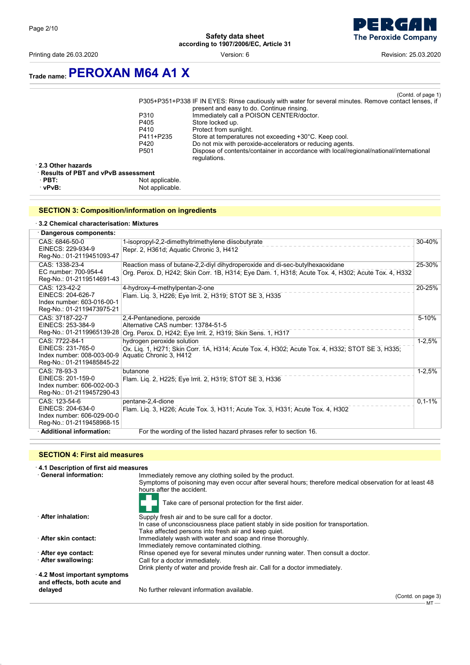Printing date 26.03.2020 **Printing date 26.03.2020 Revision: 25.03.2020 Version: 6 Revision: 25.03.2020** 



## **Trade name:PEROXAN M64 A1 X**

|                  | (Contd. of page 1)                                                                                     |
|------------------|--------------------------------------------------------------------------------------------------------|
|                  | P305+P351+P338 IF IN EYES: Rinse cautiously with water for several minutes. Remove contact lenses, if  |
|                  | present and easy to do. Continue rinsing.                                                              |
| P310             | Immediately call a POISON CENTER/doctor.                                                               |
| P405             | Store locked up.                                                                                       |
| P410             | Protect from sunlight.                                                                                 |
| P411+P235        | Store at temperatures not exceeding +30°C. Keep cool.                                                  |
| P420             | Do not mix with peroxide-accelerators or reducing agents.                                              |
| P <sub>501</sub> | Dispose of contents/container in accordance with local/regional/national/international<br>regulations. |
| n                |                                                                                                        |

· **2.3 Other hazards**

| <b>Results of PBT and vPvB assessment</b> |                 |  |
|-------------------------------------------|-----------------|--|
| $\cdot$ PBT:                              | Not applicable. |  |
| · vPvB:                                   | Not applicable. |  |

#### **SECTION 3: Composition/information on ingredients**

#### · **3.2 Chemical characterisation: Mixtures**

| · Dangerous components:                                                                        |                                                                                                                                                                                    |            |
|------------------------------------------------------------------------------------------------|------------------------------------------------------------------------------------------------------------------------------------------------------------------------------------|------------|
| CAS: 6846-50-0<br>EINECS: 229-934-9<br>Reg-No.: 01-2119451093-47                               | 1-isopropyl-2,2-dimethyltrimethylene diisobutyrate<br>Repr. 2, H361d; Aquatic Chronic 3, H412                                                                                      | 30-40%     |
| CAS: 1338-23-4<br>EC number: 700-954-4<br>Reg-No.: 01-2119514691-43                            | Reaction mass of butane-2,2-diyl dihydroperoxide and di-sec-butylhexaoxidane<br>Org. Perox. D, H242; Skin Corr. 1B, H314; Eye Dam. 1, H318; Acute Tox. 4, H302; Acute Tox. 4, H332 | 25-30%     |
| CAS: 123-42-2<br>EINECS: 204-626-7<br>Index number: 603-016-00-1<br>Reg-No.: 01-2119473975-21  | 4-hydroxy-4-methylpentan-2-one<br>Flam. Lig. 3, H226; Eye Irrit. 2, H319; STOT SE 3, H335                                                                                          | 20-25%     |
| CAS: 37187-22-7<br>EINECS: 253-384-9<br>Reg-No.: 01-2119965139-28                              | 2,4-Pentanedione, peroxide<br>Alternative CAS number: 13784-51-5<br>Org. Perox. D, H242; Eye Irrit. 2, H319; Skin Sens. 1, H317                                                    | 5-10%      |
| CAS: 7722-84-1<br>EINECS: 231-765-0<br>Index number: 008-003-00-9<br>Reg-No.: 01-2119485845-22 | hydrogen peroxide solution<br>Ox. Liq. 1, H271; Skin Corr. 1A, H314; Acute Tox. 4, H302; Acute Tox. 4, H332; STOT SE 3, H335;<br>Aquatic Chronic 3, H412                           | $1 - 2.5%$ |
| CAS: 78-93-3<br>EINECS: 201-159-0<br>Index number: 606-002-00-3<br>Reg-No.: 01-2119457290-43   | butanone<br>Flam. Lig. 2, H225; Eye Irrit. 2, H319; STOT SE 3, H336                                                                                                                | $1 - 2,5%$ |
| CAS: 123-54-6<br>EINECS: 204-634-0<br>Index number: 606-029-00-0<br>Reg-No.: 01-2119458968-15  | pentane-2,4-dione<br>Flam. Lig. 3, H226; Acute Tox. 3, H311; Acute Tox. 3, H331; Acute Tox. 4, H302                                                                                | $0,1-1%$   |
| · Additional information:                                                                      | For the wording of the listed hazard phrases refer to section 16.                                                                                                                  |            |

#### **SECTION 4: First aid measures**

· **4.1 Description of first aid measures** Immediately remove any clothing soiled by the product. Symptoms of poisoning may even occur after several hours; therefore medical observation for at least 48 hours after the accident. Take care of personal protection for the first aider. · **After inhalation:** Supply fresh air and to be sure call for a doctor. In case of unconsciousness place patient stably in side position for transportation. Take affected persons into fresh air and keep quiet. · **After skin contact:** Immediately wash with water and soap and rinse thoroughly. Immediately remove contaminated clothing. · **After eye contact:** Rinse opened eye for several minutes under running water. Then consult a doctor.<br>· **After swallowing:** Call for a doctor immediately. Call for a doctor immediately. Drink plenty of water and provide fresh air. Call for a doctor immediately. · **4.2 Most important symptoms and effects, both acute and**

No further relevant information available.

(Contd. on page 3) MT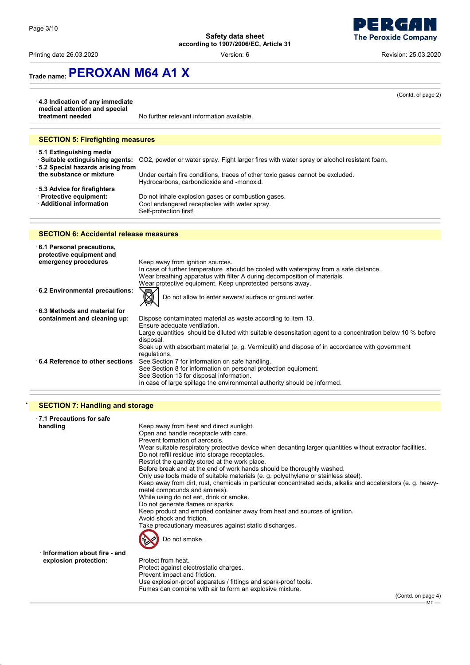Printing date 26.03.2020 Version: 6 Revision: 25.03.2020



| 4.3 Indication of any immediate                                                             | (Contd. of page 2)                                                                                                                                                                                                                                                                                                                                                                                                                                                                       |
|---------------------------------------------------------------------------------------------|------------------------------------------------------------------------------------------------------------------------------------------------------------------------------------------------------------------------------------------------------------------------------------------------------------------------------------------------------------------------------------------------------------------------------------------------------------------------------------------|
| medical attention and special<br>treatment needed                                           | No further relevant information available.                                                                                                                                                                                                                                                                                                                                                                                                                                               |
| <b>SECTION 5: Firefighting measures</b>                                                     |                                                                                                                                                                                                                                                                                                                                                                                                                                                                                          |
| ⋅ 5.1 Extinguishing media<br>· 5.2 Special hazards arising from<br>the substance or mixture | · Suitable extinguishing agents: CO2, powder or water spray. Fight larger fires with water spray or alcohol resistant foam.<br>Under certain fire conditions, traces of other toxic gases cannot be excluded.<br>Hydrocarbons, carbondioxide and -monoxid.                                                                                                                                                                                                                               |
| ⋅ 5.3 Advice for firefighters<br>· Protective equipment:<br>· Additional information        | Do not inhale explosion gases or combustion gases.<br>Cool endangered receptacles with water spray.<br>Self-protection first!                                                                                                                                                                                                                                                                                                                                                            |
| <b>SECTION 6: Accidental release measures</b>                                               |                                                                                                                                                                                                                                                                                                                                                                                                                                                                                          |
| 6.1 Personal precautions,<br>protective equipment and<br>emergency procedures               | Keep away from ignition sources.<br>In case of further temperature should be cooled with waterspray from a safe distance.<br>Wear breathing apparatus with filter A during decomposition of materials.                                                                                                                                                                                                                                                                                   |
| 6.2 Environmental precautions:                                                              | Wear protective equipment. Keep unprotected persons away.<br>Do not allow to enter sewers/ surface or ground water.                                                                                                                                                                                                                                                                                                                                                                      |
| $\cdot$ 6.3 Methods and material for<br>containment and cleaning up:                        | Dispose contaminated material as waste according to item 13.<br>Ensure adequate ventilation.                                                                                                                                                                                                                                                                                                                                                                                             |
| ⋅6.4 Reference to other sections                                                            | Large quantities should be diluted with suitable desensitation agent to a concentration below 10 % before<br>disposal.<br>Soak up with absorbant material (e. g. Vermiculit) and dispose of in accordance with government<br>regulations.<br>See Section 7 for information on safe handling.<br>See Section 8 for information on personal protection equipment.<br>See Section 13 for disposal information.<br>In case of large spillage the environmental authority should be informed. |
| <b>SECTION 7: Handling and storage</b>                                                      |                                                                                                                                                                                                                                                                                                                                                                                                                                                                                          |
| $\cdot$ 7.1 Precautions for safe                                                            |                                                                                                                                                                                                                                                                                                                                                                                                                                                                                          |

| handling                             | Keep away from heat and direct sunlight.                                                                                    |
|--------------------------------------|-----------------------------------------------------------------------------------------------------------------------------|
|                                      | Open and handle receptacle with care.                                                                                       |
|                                      | Prevent formation of aerosols.                                                                                              |
|                                      | Wear suitable respiratory protective device when decanting larger quantities without extractor facilities.                  |
|                                      | Do not refill residue into storage receptacles.                                                                             |
|                                      | Restrict the quantity stored at the work place.                                                                             |
|                                      | Before break and at the end of work hands should be thoroughly washed.                                                      |
|                                      | Only use tools made of suitable materials (e. g. polyethylene or stainless steel).                                          |
|                                      | Keep away from dirt, rust, chemicals in particular concentrated acids, alkalis and accelerators (e. g. heavy-               |
|                                      | metal compounds and amines).                                                                                                |
|                                      | While using do not eat, drink or smoke.                                                                                     |
|                                      | Do not generate flames or sparks.                                                                                           |
|                                      | Keep product and emptied container away from heat and sources of ignition.                                                  |
|                                      | Avoid shock and friction.                                                                                                   |
|                                      | Take precautionary measures against static discharges.                                                                      |
|                                      | Do not smoke.                                                                                                               |
| $\cdot$ Information about fire - and |                                                                                                                             |
|                                      | Protect from heat.                                                                                                          |
| explosion protection:                |                                                                                                                             |
|                                      | Protect against electrostatic charges.                                                                                      |
|                                      | Prevent impact and friction.                                                                                                |
|                                      | Use explosion-proof apparatus / fittings and spark-proof tools.<br>Fumes can combine with air to form an explosive mixture. |
|                                      | $\sim$ $\sim$ $\sim$ $\sim$                                                                                                 |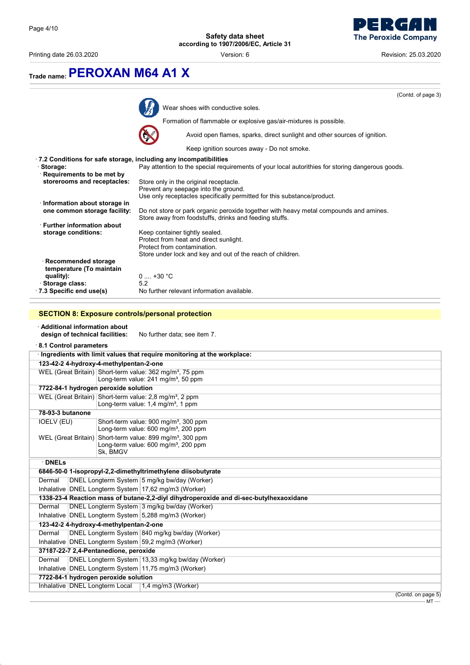

Printing date 26.03.2020 Version: 6 Revision: 25.03.2020

|                                                                                                                                                                         | (Contd. of page 3)                                                                                                                              |
|-------------------------------------------------------------------------------------------------------------------------------------------------------------------------|-------------------------------------------------------------------------------------------------------------------------------------------------|
|                                                                                                                                                                         | Wear shoes with conductive soles.                                                                                                               |
|                                                                                                                                                                         | Formation of flammable or explosive gas/air-mixtures is possible.                                                                               |
|                                                                                                                                                                         | Avoid open flames, sparks, direct sunlight and other sources of ignition.                                                                       |
|                                                                                                                                                                         | Keep ignition sources away - Do not smoke.                                                                                                      |
|                                                                                                                                                                         | .7.2 Conditions for safe storage, including any incompatibilities                                                                               |
| Storage:                                                                                                                                                                | Pay attention to the special requirements of your local autorithies for storing dangerous goods.                                                |
| · Requirements to be met by<br>storerooms and receptacles:                                                                                                              |                                                                                                                                                 |
|                                                                                                                                                                         | Store only in the original receptacle.<br>Prevent any seepage into the ground.                                                                  |
|                                                                                                                                                                         | Use only receptacles specifically permitted for this substance/product.                                                                         |
| · Information about storage in                                                                                                                                          |                                                                                                                                                 |
| one common storage facility:                                                                                                                                            | Do not store or park organic peroxide together with heavy metal compounds and amines.<br>Store away from foodstuffs, drinks and feeding stuffs. |
| <b>Further information about</b>                                                                                                                                        |                                                                                                                                                 |
| storage conditions:                                                                                                                                                     | Keep container tightly sealed.                                                                                                                  |
|                                                                                                                                                                         | Protect from heat and direct sunlight.<br>Protect from contamination.                                                                           |
|                                                                                                                                                                         | Store under lock and key and out of the reach of children.                                                                                      |
| $\cdot$ Recommended storage                                                                                                                                             |                                                                                                                                                 |
| temperature (To maintain                                                                                                                                                |                                                                                                                                                 |
| quality):<br>· Storage class:                                                                                                                                           | $0 \dots +30 °C$<br>5.2                                                                                                                         |
| 7.3 Specific end use(s)                                                                                                                                                 | No further relevant information available.                                                                                                      |
| 8.1 Control parameters                                                                                                                                                  |                                                                                                                                                 |
|                                                                                                                                                                         | Ingredients with limit values that require monitoring at the workplace:                                                                         |
| 123-42-2 4-hydroxy-4-methylpentan-2-one                                                                                                                                 |                                                                                                                                                 |
|                                                                                                                                                                         | WEL (Great Britain) Short-term value: 362 mg/m <sup>3</sup> , 75 ppm                                                                            |
|                                                                                                                                                                         | Long-term value: 241 mg/m <sup>3</sup> , 50 ppm                                                                                                 |
|                                                                                                                                                                         |                                                                                                                                                 |
|                                                                                                                                                                         | 7722-84-1 hydrogen peroxide solution                                                                                                            |
|                                                                                                                                                                         | WEL (Great Britain) Short-term value: 2,8 mg/m <sup>3</sup> , 2 ppm                                                                             |
|                                                                                                                                                                         | Long-term value: 1,4 mg/m <sup>3</sup> , 1 ppm                                                                                                  |
|                                                                                                                                                                         |                                                                                                                                                 |
|                                                                                                                                                                         | Short-term value: 900 mg/m <sup>3</sup> , 300 ppm<br>Long-term value: 600 mg/m <sup>3</sup> , 200 ppm                                           |
|                                                                                                                                                                         | WEL (Great Britain) Short-term value: 899 mg/m <sup>3</sup> , 300 ppm                                                                           |
|                                                                                                                                                                         | Long-term value: 600 mg/m <sup>3</sup> , 200 ppm                                                                                                |
|                                                                                                                                                                         | Sk, BMGV                                                                                                                                        |
| $\cdot$ DNELs                                                                                                                                                           |                                                                                                                                                 |
|                                                                                                                                                                         | 6846-50-0 1-isopropyl-2,2-dimethyltrimethylene diisobutyrate                                                                                    |
|                                                                                                                                                                         | DNEL Longterm System 5 mg/kg bw/day (Worker)                                                                                                    |
|                                                                                                                                                                         | Inhalative DNEL Longterm System 17,62 mg/m3 (Worker)                                                                                            |
| Dermal                                                                                                                                                                  | 1338-23-4 Reaction mass of butane-2,2-diyl dihydroperoxide and di-sec-butylhexaoxidane<br>DNEL Longterm System 3 mg/kg bw/day (Worker)          |
|                                                                                                                                                                         | Inhalative DNEL Longterm System 5,288 mg/m3 (Worker)                                                                                            |
|                                                                                                                                                                         |                                                                                                                                                 |
|                                                                                                                                                                         | DNEL Longterm System 840 mg/kg bw/day (Worker)                                                                                                  |
|                                                                                                                                                                         | Inhalative DNEL Longterm System 59,2 mg/m3 (Worker)                                                                                             |
| 123-42-2 4-hydroxy-4-methylpentan-2-one<br>Dermal                                                                                                                       |                                                                                                                                                 |
|                                                                                                                                                                         | DNEL Longterm System 13,33 mg/kg bw/day (Worker)                                                                                                |
|                                                                                                                                                                         | Inhalative DNEL Longterm System 11,75 mg/m3 (Worker)                                                                                            |
| 78-93-3 butanone<br>IOELV (EU)<br>Dermal<br>37187-22-7 2,4-Pentanedione, peroxide<br>Dermal<br>7722-84-1 hydrogen peroxide solution<br>Inhalative   DNEL Longterm Local | 1,4 mg/m3 (Worker)                                                                                                                              |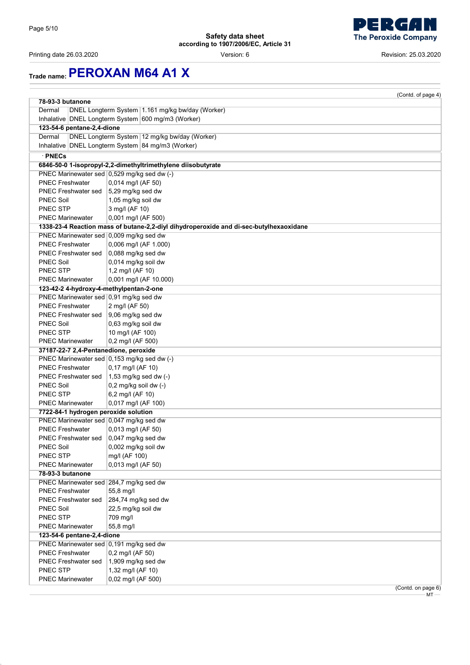Printing date 26.03.2020 Version: 6 Revision: 25.03.2020

# **Trade name:PEROXAN M64 A1 X**

|                                         | (Contd. of page 4)                                                                     |
|-----------------------------------------|----------------------------------------------------------------------------------------|
| 78-93-3 butanone                        |                                                                                        |
| Dermal                                  | DNEL Longterm System   1.161 mg/kg bw/day (Worker)                                     |
|                                         | Inhalative   DNEL Longterm System   600 mg/m3 (Worker)                                 |
| 123-54-6 pentane-2,4-dione              |                                                                                        |
| Dermal                                  | DNEL Longterm System 12 mg/kg bw/day (Worker)                                          |
|                                         | Inhalative DNEL Longterm System 84 mg/m3 (Worker)                                      |
| · PNECs                                 |                                                                                        |
|                                         | 6846-50-0 1-isopropyl-2,2-dimethyltrimethylene diisobutyrate                           |
|                                         | PNEC Marinewater sed 0,529 mg/kg sed dw (-)                                            |
| <b>PNEC Freshwater</b>                  | 0,014 mg/l (AF 50)                                                                     |
| PNEC Freshwater sed                     | 5,29 mg/kg sed dw                                                                      |
| <b>PNEC Soil</b>                        | 1,05 mg/kg soil dw                                                                     |
| <b>PNEC STP</b>                         | 3 mg/l (AF 10)                                                                         |
| <b>PNEC Marinewater</b>                 | 0,001 mg/l (AF 500)                                                                    |
|                                         | 1338-23-4 Reaction mass of butane-2,2-diyl dihydroperoxide and di-sec-butylhexaoxidane |
| PNEC Marinewater sed 0,009 mg/kg sed dw |                                                                                        |
| <b>PNEC Freshwater</b>                  | 0,006 mg/l (AF 1.000)                                                                  |
| PNEC Freshwater sed                     | 0,088 mg/kg sed dw                                                                     |
| <b>PNEC Soil</b>                        | 0,014 mg/kg soil dw                                                                    |
| PNEC STP                                | 1,2 mg/l (AF 10)                                                                       |
| <b>PNEC Marinewater</b>                 | 0,001 mg/l (AF 10.000)                                                                 |
| 123-42-2 4-hydroxy-4-methylpentan-2-one |                                                                                        |
| PNEC Marinewater sed 0,91 mg/kg sed dw  |                                                                                        |
| <b>PNEC Freshwater</b>                  | 2 mg/l (AF 50)                                                                         |
| PNEC Freshwater sed                     | $9,06$ mg/kg sed dw                                                                    |
| <b>PNEC Soil</b>                        | 0,63 mg/kg soil dw                                                                     |
| <b>PNEC STP</b>                         | 10 mg/l (AF 100)                                                                       |
| <b>PNEC Marinewater</b>                 | 0,2 mg/l (AF 500)                                                                      |
| 37187-22-7 2,4-Pentanedione, peroxide   | PNEC Marinewater sed 0,153 mg/kg sed dw (-)                                            |
| <b>PNEC Freshwater</b>                  | 0,17 mg/l (AF 10)                                                                      |
| PNEC Freshwater sed                     | $1,53$ mg/kg sed dw $(-)$                                                              |
| <b>PNEC Soil</b>                        | 0,2 mg/kg soil dw (-)                                                                  |
| PNEC STP                                | 6,2 mg/l (AF 10)                                                                       |
| <b>PNEC Marinewater</b>                 | 0,017 mg/l (AF 100)                                                                    |
| 7722-84-1 hydrogen peroxide solution    |                                                                                        |
| PNEC Marinewater sed 0,047 mg/kg sed dw |                                                                                        |
| <b>PNEC Freshwater</b>                  | 0,013 mg/l (AF 50)                                                                     |
| <b>PNEC Freshwater sed</b>              | $0.047$ mg/kg sed dw                                                                   |
| <b>PNEC Soil</b>                        | 0,002 mg/kg soil dw                                                                    |
| PNEC STP                                | mg/l (AF 100)                                                                          |
| <b>PNEC Marinewater</b>                 | 0,013 mg/l (AF 50)                                                                     |
| 78-93-3 butanone                        |                                                                                        |
| PNEC Marinewater sed 284,7 mg/kg sed dw |                                                                                        |
| <b>PNEC Freshwater</b>                  | 55,8 mg/l                                                                              |
| <b>PNEC Freshwater sed</b>              | 284,74 mg/kg sed dw                                                                    |
| <b>PNEC Soil</b>                        | 22,5 mg/kg soil dw                                                                     |
| PNEC STP                                | 709 mg/l                                                                               |
| <b>PNEC Marinewater</b>                 | 55,8 mg/l                                                                              |
| 123-54-6 pentane-2,4-dione              |                                                                                        |
| PNEC Marinewater sed 0,191 mg/kg sed dw |                                                                                        |
| <b>PNEC Freshwater</b>                  | 0,2 mg/l (AF 50)                                                                       |
| <b>PNEC Freshwater sed</b>              | 1,909 mg/kg sed dw                                                                     |
| PNEC STP                                | 1,32 mg/l (AF 10)                                                                      |
| <b>PNEC Marinewater</b>                 | 0,02 mg/l (AF 500)                                                                     |
|                                         | (Contd. on page 6)                                                                     |

MT

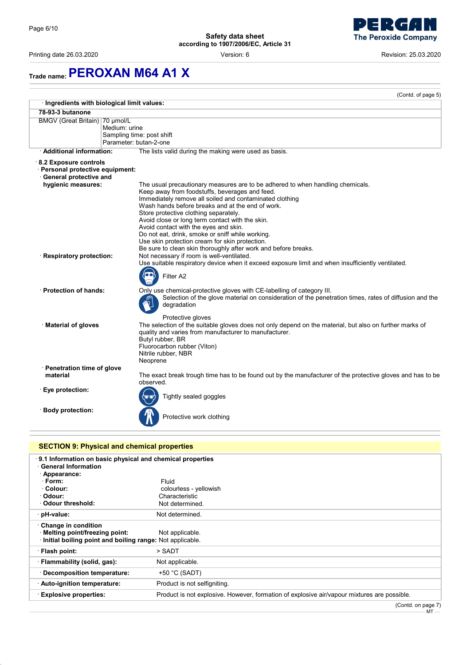Printing date 26.03.2020 Version: 6 Revision: 25.03.2020



|                                                                                            | (Contd. of page 5)                                                                                                                                                                                                                                                                                                                                                                                                                                                                                                                                           |  |
|--------------------------------------------------------------------------------------------|--------------------------------------------------------------------------------------------------------------------------------------------------------------------------------------------------------------------------------------------------------------------------------------------------------------------------------------------------------------------------------------------------------------------------------------------------------------------------------------------------------------------------------------------------------------|--|
|                                                                                            | · Ingredients with biological limit values:                                                                                                                                                                                                                                                                                                                                                                                                                                                                                                                  |  |
| 78-93-3 butanone                                                                           |                                                                                                                                                                                                                                                                                                                                                                                                                                                                                                                                                              |  |
| BMGV (Great Britain) 70 µmol/L                                                             | Medium: urine<br>Sampling time: post shift<br>Parameter: butan-2-one                                                                                                                                                                                                                                                                                                                                                                                                                                                                                         |  |
| · Additional information:                                                                  | The lists valid during the making were used as basis.                                                                                                                                                                                                                                                                                                                                                                                                                                                                                                        |  |
| 8.2 Exposure controls<br>· Personal protective equipment:<br><b>General protective and</b> |                                                                                                                                                                                                                                                                                                                                                                                                                                                                                                                                                              |  |
| hygienic measures:                                                                         | The usual precautionary measures are to be adhered to when handling chemicals.<br>Keep away from foodstuffs, beverages and feed.<br>Immediately remove all soiled and contaminated clothing<br>Wash hands before breaks and at the end of work.<br>Store protective clothing separately.<br>Avoid close or long term contact with the skin.<br>Avoid contact with the eyes and skin.<br>Do not eat, drink, smoke or sniff while working.<br>Use skin protection cream for skin protection.<br>Be sure to clean skin thoroughly after work and before breaks. |  |
| · Respiratory protection:                                                                  | Not necessary if room is well-ventilated.<br>Use suitable respiratory device when it exceed exposure limit and when insufficiently ventilated.<br>Filter A2                                                                                                                                                                                                                                                                                                                                                                                                  |  |
| · Protection of hands:                                                                     | Only use chemical-protective gloves with CE-labelling of category III.<br>Selection of the glove material on consideration of the penetration times, rates of diffusion and the<br>degradation<br>Protective gloves                                                                                                                                                                                                                                                                                                                                          |  |
| · Material of gloves                                                                       | The selection of the suitable gloves does not only depend on the material, but also on further marks of<br>quality and varies from manufacturer to manufacturer.<br>Butyl rubber, BR<br>Fluorocarbon rubber (Viton)<br>Nitrile rubber, NBR<br>Neoprene                                                                                                                                                                                                                                                                                                       |  |
| · Penetration time of glove<br>material                                                    | The exact break trough time has to be found out by the manufacturer of the protective gloves and has to be<br>observed.                                                                                                                                                                                                                                                                                                                                                                                                                                      |  |
| · Eye protection:                                                                          | Tightly sealed goggles                                                                                                                                                                                                                                                                                                                                                                                                                                                                                                                                       |  |
| · Body protection:                                                                         | Protective work clothing                                                                                                                                                                                                                                                                                                                                                                                                                                                                                                                                     |  |

| <b>SECTION 9: Physical and chemical properties</b>                                                                 |                                                                                             |  |
|--------------------------------------------------------------------------------------------------------------------|---------------------------------------------------------------------------------------------|--|
| 9.1 Information on basic physical and chemical properties<br><b>General Information</b><br>· Appearance:           |                                                                                             |  |
| $\cdot$ Form:                                                                                                      | Fluid                                                                                       |  |
| · Colour:                                                                                                          | colourless - yellowish                                                                      |  |
| · Odour:                                                                                                           | Characteristic                                                                              |  |
| Odour threshold:                                                                                                   | Not determined.                                                                             |  |
| · pH-value:                                                                                                        | Not determined.                                                                             |  |
| Change in condition<br>· Melting point/freezing point:<br>Initial boiling point and boiling range: Not applicable. | Not applicable.                                                                             |  |
| · Flash point:                                                                                                     | > SADT                                                                                      |  |
| · Flammability (solid, gas):                                                                                       | Not applicable.                                                                             |  |
| · Decomposition temperature:                                                                                       | $+50$ °C (SADT)                                                                             |  |
| · Auto-ignition temperature:                                                                                       | Product is not selfigniting.                                                                |  |
| <b>Explosive properties:</b>                                                                                       | Product is not explosive. However, formation of explosive air/vapour mixtures are possible. |  |
|                                                                                                                    | (Contd. on page 7)                                                                          |  |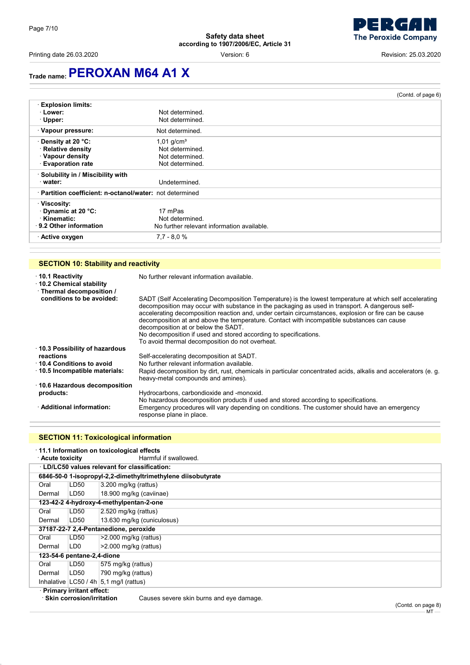Printing date 26.03.2020 Version: 6 Revision: 25.03.2020

. J **The Peroxide Company** 

## **Trade name:PEROXAN M64 A1 X**

|                                                          |                                            | (Contd. of page 6) |
|----------------------------------------------------------|--------------------------------------------|--------------------|
| <b>Explosion limits:</b>                                 |                                            |                    |
| · Lower:                                                 | Not determined.                            |                    |
| $\cdot$ Upper:                                           | Not determined.                            |                    |
| · Vapour pressure:                                       | Not determined.                            |                    |
| ⋅ Density at 20 °C:                                      | $1,01$ g/cm <sup>3</sup>                   |                    |
| · Relative density                                       | Not determined.                            |                    |
| · Vapour density                                         | Not determined                             |                    |
| <b>Evaporation rate</b>                                  | Not determined.                            |                    |
| · Solubility in / Miscibility with                       |                                            |                    |
| water:                                                   | Undetermined.                              |                    |
| · Partition coefficient: n-octanol/water: not determined |                                            |                    |
| · Viscosity:                                             |                                            |                    |
| Dynamic at 20 °C:                                        | 17 mPas                                    |                    |
| · Kinematic:                                             | Not determined.                            |                    |
| 9.2 Other information                                    | No further relevant information available. |                    |
| · Active oxygen                                          | $7.7 - 8.0 %$                              |                    |

### **SECTION 10: Stability and reactivity**

| $\cdot$ 10.1 Reactivity<br>10.2 Chemical stability<br>· Thermal decomposition / | No further relevant information available.                                                                                                                                                                                                                                                                                                                                                                                                                                                                                                                                     |
|---------------------------------------------------------------------------------|--------------------------------------------------------------------------------------------------------------------------------------------------------------------------------------------------------------------------------------------------------------------------------------------------------------------------------------------------------------------------------------------------------------------------------------------------------------------------------------------------------------------------------------------------------------------------------|
| conditions to be avoided:                                                       | SADT (Self Accelerating Decomposition Temperature) is the lowest temperature at which self accelerating<br>decomposition may occur with substance in the packaging as used in transport. A dangerous self-<br>accelerating decomposition reaction and, under certain circumstances, explosion or fire can be cause<br>decomposition at and above the temperature. Contact with incompatible substances can cause<br>decomposition at or below the SADT.<br>No decomposition if used and stored according to specifications.<br>To avoid thermal decomposition do not overheat. |
| 10.3 Possibility of hazardous                                                   |                                                                                                                                                                                                                                                                                                                                                                                                                                                                                                                                                                                |
| reactions                                                                       | Self-accelerating decomposition at SADT.                                                                                                                                                                                                                                                                                                                                                                                                                                                                                                                                       |
| 10.4 Conditions to avoid                                                        | No further relevant information available.                                                                                                                                                                                                                                                                                                                                                                                                                                                                                                                                     |
| $\cdot$ 10.5 Incompatible materials:                                            | Rapid decomposition by dirt, rust, chemicals in particular concentrated acids, alkalis and accelerators (e. g.<br>heavy-metal compounds and amines).                                                                                                                                                                                                                                                                                                                                                                                                                           |
| ⋅ 10.6 Hazardous decomposition                                                  |                                                                                                                                                                                                                                                                                                                                                                                                                                                                                                                                                                                |
| products:                                                                       | Hydrocarbons, carbondioxide and -monoxid.<br>No hazardous decomposition products if used and stored according to specifications.                                                                                                                                                                                                                                                                                                                                                                                                                                               |
| · Additional information:                                                       | Emergency procedures will vary depending on conditions. The customer should have an emergency<br>response plane in place.                                                                                                                                                                                                                                                                                                                                                                                                                                                      |

### **SECTION 11: Toxicological information**

| 11.1 Information on toxicological effects                                      |                            |                                                              |
|--------------------------------------------------------------------------------|----------------------------|--------------------------------------------------------------|
| ⋅ Acute toxicity                                                               |                            | Harmful if swallowed.                                        |
|                                                                                |                            | LD/LC50 values relevant for classification:                  |
|                                                                                |                            | 6846-50-0 1-isopropyl-2,2-dimethyltrimethylene diisobutyrate |
| Oral                                                                           | LD50                       | 3.200 mg/kg (rattus)                                         |
| Dermal                                                                         | LD50                       | 18.900 mg/kg (caviinae)                                      |
|                                                                                |                            | 123-42-2 4-hydroxy-4-methylpentan-2-one                      |
| Oral                                                                           | LD50                       | 2.520 mg/kg (rattus)                                         |
| Dermal                                                                         | LD50                       | 13.630 mg/kg (cuniculosus)                                   |
| 37187-22-7 2,4-Pentanedione, peroxide                                          |                            |                                                              |
| Oral                                                                           | LD50                       | $>2.000$ mg/kg (rattus)                                      |
| Dermal                                                                         | LD <sub>0</sub>            | $>2.000$ mg/kg (rattus)                                      |
|                                                                                | 123-54-6 pentane-2,4-dione |                                                              |
| Oral                                                                           | LD50                       | 575 mg/kg (rattus)                                           |
| Dermal                                                                         | LD50                       | 790 mg/kg (rattus)                                           |
|                                                                                |                            | Inhalative $ LC50/4h 5,1 mg/l$ (rattus)                      |
| · Primary irritant effect:                                                     |                            |                                                              |
| $\cdot$ Skin corrosion/irritation.<br>Causes severe skin burns and eye damage. |                            |                                                              |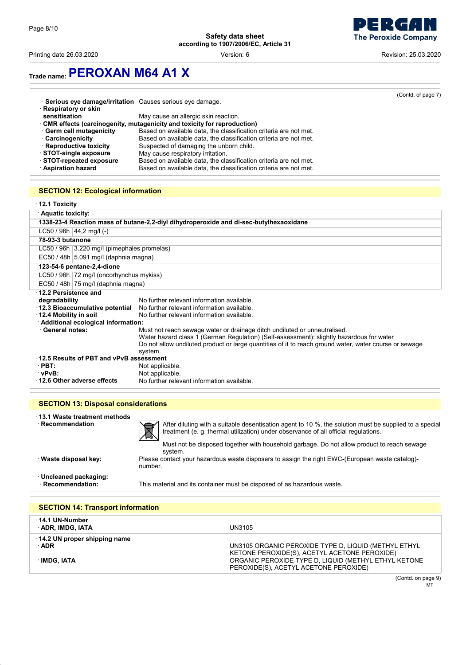

Printing date 26.03.2020 Version: 6 Revision: 25.03.2020

# **Trade name:PEROXAN M64 A1 X**

|                                                          |                                                                           | (Contd. of page 7) |
|----------------------------------------------------------|---------------------------------------------------------------------------|--------------------|
| Serious eye damage/irritation Causes serious eye damage. |                                                                           |                    |
| Respiratory or skin                                      |                                                                           |                    |
| sensitisation                                            | May cause an allergic skin reaction.                                      |                    |
|                                                          | · CMR effects (carcinogenity, mutagenicity and toxicity for reproduction) |                    |
| Germ cell mutagenicity                                   | Based on available data, the classification criteria are not met.         |                    |
| · Carcinogenicity                                        | Based on available data, the classification criteria are not met.         |                    |
| · Reproductive toxicity                                  | Suspected of damaging the unborn child.                                   |                    |
| STOT-single exposure                                     | May cause respiratory irritation.                                         |                    |
| STOT-repeated exposure                                   | Based on available data, the classification criteria are not met.         |                    |
| · Aspiration hazard                                      | Based on available data, the classification criteria are not met.         |                    |

## **SECTION 12: Ecological information**

| $\cdot$ 12.1 Toxicity         |                                             |                                                                                                        |
|-------------------------------|---------------------------------------------|--------------------------------------------------------------------------------------------------------|
| <b>Aquatic toxicity:</b>      |                                             |                                                                                                        |
|                               |                                             | 1338-23-4 Reaction mass of butane-2,2-divl dihydroperoxide and di-sec-butylhexaoxidane                 |
| $LC50 / 96h   44,2 mg/l (-)$  |                                             |                                                                                                        |
| 78-93-3 butanone              |                                             |                                                                                                        |
|                               | LC50 / 96h 3.220 mg/l (pimephales promelas) |                                                                                                        |
|                               | EC50 / 48h 5.091 mg/l (daphnia magna)       |                                                                                                        |
| 123-54-6 pentane-2,4-dione    |                                             |                                                                                                        |
|                               | LC50 / 96h 72 mg/l (oncorhynchus mykiss)    |                                                                                                        |
|                               | EC50 / 48h 75 mg/l (daphnia magna)          |                                                                                                        |
| $\cdot$ 12.2 Persistence and  |                                             |                                                                                                        |
| degradability                 |                                             | No further relevant information available.                                                             |
|                               | 12.3 Bioaccumulative potential              | No further relevant information available.                                                             |
| $\cdot$ 12.4 Mobility in soil |                                             | No further relevant information available.                                                             |
|                               | · Additional ecological information:        |                                                                                                        |
| · General notes:              |                                             | Must not reach sewage water or drainage ditch undiluted or unneutralised.                              |
|                               |                                             | Water hazard class 1 (German Regulation) (Self-assessment): slightly hazardous for water               |
|                               |                                             | Do not allow undiluted product or large quantities of it to reach ground water, water course or sewage |
|                               |                                             | system.                                                                                                |
|                               | 12.5 Results of PBT and vPvB assessment     |                                                                                                        |
| $\cdot$ PBT:                  |                                             | Not applicable.                                                                                        |
| vPvB:                         |                                             | Not applicable.                                                                                        |
|                               | 12.6 Other adverse effects                  | No further relevant information available.                                                             |

| <b>SECTION 13: Disposal considerations</b>       |                                                                                                                                                                                                                                                                                                   |  |
|--------------------------------------------------|---------------------------------------------------------------------------------------------------------------------------------------------------------------------------------------------------------------------------------------------------------------------------------------------------|--|
| 13.1 Waste treatment methods<br>· Recommendation | After diluting with a suitable desentisation agent to 10 %, the solution must be supplied to a special<br>treatment (e. g. thermal utilization) under observance of all official regulations.<br>୵∿<br>Must not be disposed together with household garbage. Do not allow product to reach sewage |  |
| · Waste disposal key:                            | svstem.<br>Please contact your hazardous waste disposers to assign the right EWC-(European waste catalog)-<br>number.                                                                                                                                                                             |  |
| · Uncleaned packaging:<br>· Recommendation:      | This material and its container must be disposed of as hazardous waste.                                                                                                                                                                                                                           |  |

| <b>SECTION 14: Transport information</b>    |                                                                                                      |
|---------------------------------------------|------------------------------------------------------------------------------------------------------|
| · 14.1 UN-Number<br>ADR, IMDG, IATA         | UN3105                                                                                               |
| 14.2 UN proper shipping name<br>$\cdot$ ADR | UN3105 ORGANIC PEROXIDE TYPE D, LIQUID (METHYL ETHYL<br>KETONE PEROXIDE(S), ACETYL ACETONE PEROXIDE) |
| · IMDG. IATA                                | ORGANIC PEROXIDE TYPE D, LIQUID (METHYL ETHYL KETONE<br>PEROXIDE(S), ACETYL ACETONE PEROXIDE)        |
|                                             | (Contd. on page 9)                                                                                   |

 $MT -$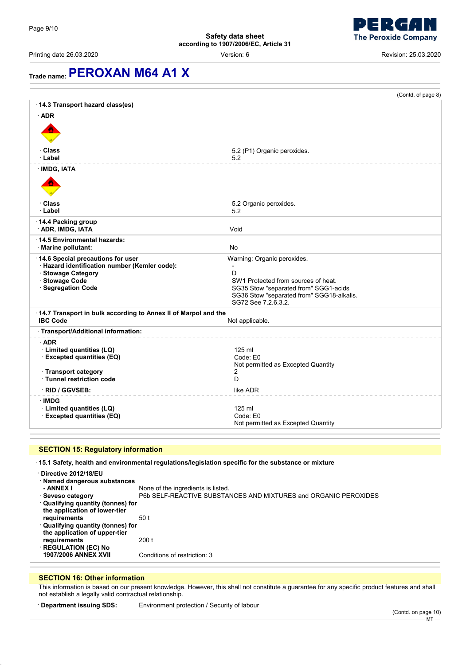

Printing date 26.03.2020 Version: 6 Revision: 25.03.2020

# **Trade name:PEROXAN M64 A1 X**

|                                                                                    | (Contd. of page 8)                                                                                        |
|------------------------------------------------------------------------------------|-----------------------------------------------------------------------------------------------------------|
| 14.3 Transport hazard class(es)                                                    |                                                                                                           |
| $·$ ADR                                                                            |                                                                                                           |
|                                                                                    |                                                                                                           |
| · Class<br>· Label                                                                 | 5.2 (P1) Organic peroxides.<br>5.2                                                                        |
| <b>IMDG, IATA</b>                                                                  |                                                                                                           |
|                                                                                    |                                                                                                           |
| ∙ Class                                                                            | 5.2 Organic peroxides.                                                                                    |
| · Label                                                                            | 5.2                                                                                                       |
| 14.4 Packing group<br>· ADR, IMDG, IATA                                            | Void                                                                                                      |
| 14.5 Environmental hazards:                                                        |                                                                                                           |
| Marine pollutant:                                                                  | <b>No</b>                                                                                                 |
| 14.6 Special precautions for user<br>· Hazard identification number (Kemler code): | Warning: Organic peroxides.                                                                               |
| · Stowage Category                                                                 | D                                                                                                         |
| · Stowage Code                                                                     | SW1 Protected from sources of heat.                                                                       |
| · Segregation Code                                                                 | SG35 Stow "separated from" SGG1-acids<br>SG36 Stow "separated from" SGG18-alkalis.<br>SG72 See 7.2.6.3.2. |
| 14.7 Transport in bulk according to Annex II of Marpol and the                     |                                                                                                           |
| <b>IBC Code</b>                                                                    | Not applicable.                                                                                           |
| · Transport/Additional information:                                                |                                                                                                           |
| $\cdot$ ADR                                                                        |                                                                                                           |
| · Limited quantities (LQ)<br>· Excepted quantities (EQ)                            | 125 ml<br>Code: E0                                                                                        |
|                                                                                    | Not permitted as Excepted Quantity                                                                        |
| · Transport category<br>· Tunnel restriction code                                  | 2<br>D                                                                                                    |
|                                                                                    |                                                                                                           |
| · RID / GGVSEB:                                                                    | like ADR                                                                                                  |
| ∙IMDG<br>· Limited quantities (LQ)                                                 | $125$ ml                                                                                                  |
| · Excepted quantities (EQ)                                                         | Code: E0                                                                                                  |
|                                                                                    | Not permitted as Excepted Quantity                                                                        |

### **SECTION 15: Regulatory information**

· **15.1 Safety, health and environmental regulations/legislation specific for the substance or mixture**

| <b>REGULATION (EC) No</b><br><b>1907/2006 ANNEX XVII</b>                               | Conditions of restriction: 3                                                                          |
|----------------------------------------------------------------------------------------|-------------------------------------------------------------------------------------------------------|
| the application of upper-tier<br>requirements                                          | 200 t                                                                                                 |
| requirements<br>· Qualifying quantity (tonnes) for                                     | 50 t                                                                                                  |
| · Qualifying quantity (tonnes) for<br>the application of lower-tier                    |                                                                                                       |
| Directive 2012/18/EU<br>· Named dangerous substances<br>- ANNEX I<br>· Seveso category | None of the ingredients is listed.<br>P6b SELF-REACTIVE SUBSTANCES AND MIXTURES and ORGANIC PEROXIDES |

#### **SECTION 16: Other information**

This information is based on our present knowledge. However, this shall not constitute a guarantee for any specific product features and shall not establish a legally valid contractual relationship.

· **Department issuing SDS:** Environment protection / Security of labour